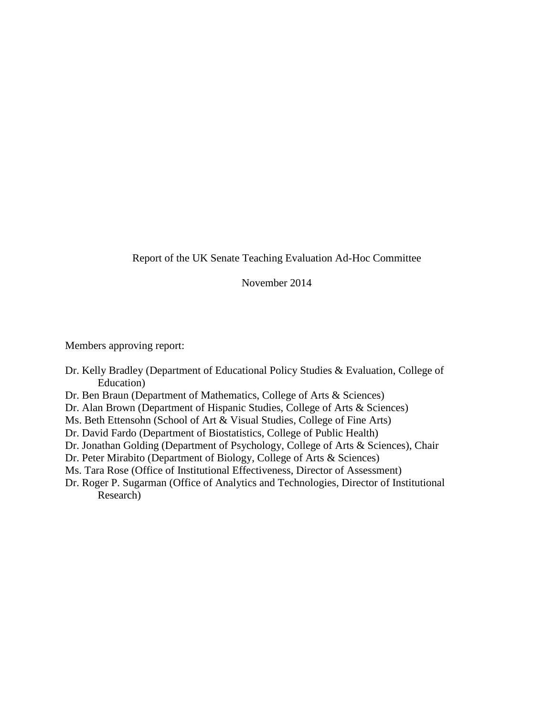Report of the UK Senate Teaching Evaluation Ad-Hoc Committee

November 2014

Members approving report:

- Dr. Kelly Bradley (Department of Educational Policy Studies & Evaluation, College of Education)
- Dr. Ben Braun (Department of Mathematics, College of Arts & Sciences)
- Dr. Alan Brown (Department of Hispanic Studies, College of Arts & Sciences)
- Ms. Beth Ettensohn (School of Art & Visual Studies, College of Fine Arts)
- Dr. David Fardo (Department of Biostatistics, College of Public Health)
- Dr. Jonathan Golding (Department of Psychology, College of Arts & Sciences), Chair
- Dr. Peter Mirabito (Department of Biology, College of Arts & Sciences)
- Ms. Tara Rose (Office of Institutional Effectiveness, Director of Assessment)
- Dr. Roger P. Sugarman (Office of Analytics and Technologies, Director of Institutional Research)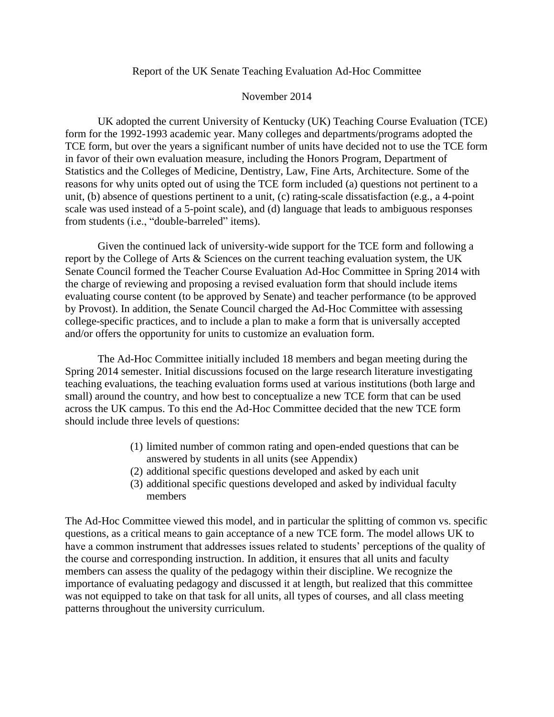#### Report of the UK Senate Teaching Evaluation Ad-Hoc Committee

#### November 2014

UK adopted the current University of Kentucky (UK) Teaching Course Evaluation (TCE) form for the 1992-1993 academic year. Many colleges and departments/programs adopted the TCE form, but over the years a significant number of units have decided not to use the TCE form in favor of their own evaluation measure, including the Honors Program, Department of Statistics and the Colleges of Medicine, Dentistry, Law, Fine Arts, Architecture. Some of the reasons for why units opted out of using the TCE form included (a) questions not pertinent to a unit, (b) absence of questions pertinent to a unit, (c) rating-scale dissatisfaction (e.g., a 4-point scale was used instead of a 5-point scale), and (d) language that leads to ambiguous responses from students (i.e., "double-barreled" items).

Given the continued lack of university-wide support for the TCE form and following a report by the College of Arts & Sciences on the current teaching evaluation system, the UK Senate Council formed the Teacher Course Evaluation Ad-Hoc Committee in Spring 2014 with the charge of reviewing and proposing a revised evaluation form that should include items evaluating course content (to be approved by Senate) and teacher performance (to be approved by Provost). In addition, the Senate Council charged the Ad-Hoc Committee with assessing college-specific practices, and to include a plan to make a form that is universally accepted and/or offers the opportunity for units to customize an evaluation form.

The Ad-Hoc Committee initially included 18 members and began meeting during the Spring 2014 semester. Initial discussions focused on the large research literature investigating teaching evaluations, the teaching evaluation forms used at various institutions (both large and small) around the country, and how best to conceptualize a new TCE form that can be used across the UK campus. To this end the Ad-Hoc Committee decided that the new TCE form should include three levels of questions:

- (1) limited number of common rating and open-ended questions that can be answered by students in all units (see Appendix)
- (2) additional specific questions developed and asked by each unit
- (3) additional specific questions developed and asked by individual faculty members

The Ad-Hoc Committee viewed this model, and in particular the splitting of common vs. specific questions, as a critical means to gain acceptance of a new TCE form. The model allows UK to have a common instrument that addresses issues related to students' perceptions of the quality of the course and corresponding instruction. In addition, it ensures that all units and faculty members can assess the quality of the pedagogy within their discipline. We recognize the importance of evaluating pedagogy and discussed it at length, but realized that this committee was not equipped to take on that task for all units, all types of courses, and all class meeting patterns throughout the university curriculum.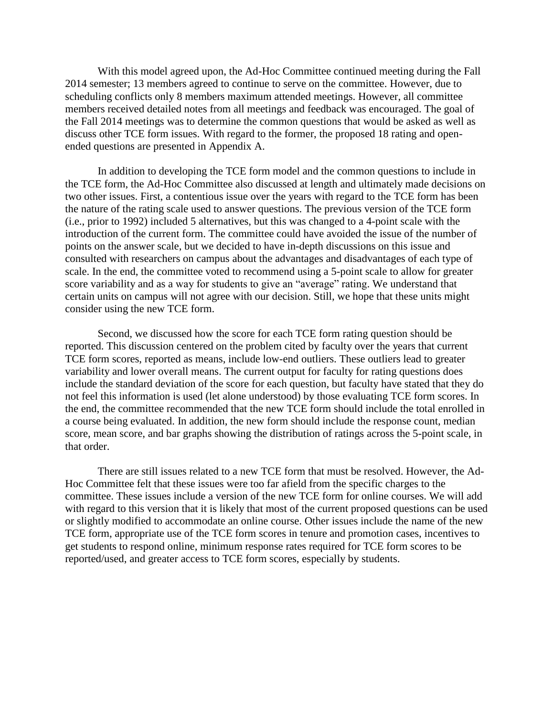With this model agreed upon, the Ad-Hoc Committee continued meeting during the Fall 2014 semester; 13 members agreed to continue to serve on the committee. However, due to scheduling conflicts only 8 members maximum attended meetings. However, all committee members received detailed notes from all meetings and feedback was encouraged. The goal of the Fall 2014 meetings was to determine the common questions that would be asked as well as discuss other TCE form issues. With regard to the former, the proposed 18 rating and openended questions are presented in Appendix A.

In addition to developing the TCE form model and the common questions to include in the TCE form, the Ad-Hoc Committee also discussed at length and ultimately made decisions on two other issues. First, a contentious issue over the years with regard to the TCE form has been the nature of the rating scale used to answer questions. The previous version of the TCE form (i.e., prior to 1992) included 5 alternatives, but this was changed to a 4-point scale with the introduction of the current form. The committee could have avoided the issue of the number of points on the answer scale, but we decided to have in-depth discussions on this issue and consulted with researchers on campus about the advantages and disadvantages of each type of scale. In the end, the committee voted to recommend using a 5-point scale to allow for greater score variability and as a way for students to give an "average" rating. We understand that certain units on campus will not agree with our decision. Still, we hope that these units might consider using the new TCE form.

Second, we discussed how the score for each TCE form rating question should be reported. This discussion centered on the problem cited by faculty over the years that current TCE form scores, reported as means, include low-end outliers. These outliers lead to greater variability and lower overall means. The current output for faculty for rating questions does include the standard deviation of the score for each question, but faculty have stated that they do not feel this information is used (let alone understood) by those evaluating TCE form scores. In the end, the committee recommended that the new TCE form should include the total enrolled in a course being evaluated. In addition, the new form should include the response count, median score, mean score, and bar graphs showing the distribution of ratings across the 5-point scale, in that order.

There are still issues related to a new TCE form that must be resolved. However, the Ad-Hoc Committee felt that these issues were too far afield from the specific charges to the committee. These issues include a version of the new TCE form for online courses. We will add with regard to this version that it is likely that most of the current proposed questions can be used or slightly modified to accommodate an online course. Other issues include the name of the new TCE form, appropriate use of the TCE form scores in tenure and promotion cases, incentives to get students to respond online, minimum response rates required for TCE form scores to be reported/used, and greater access to TCE form scores, especially by students.